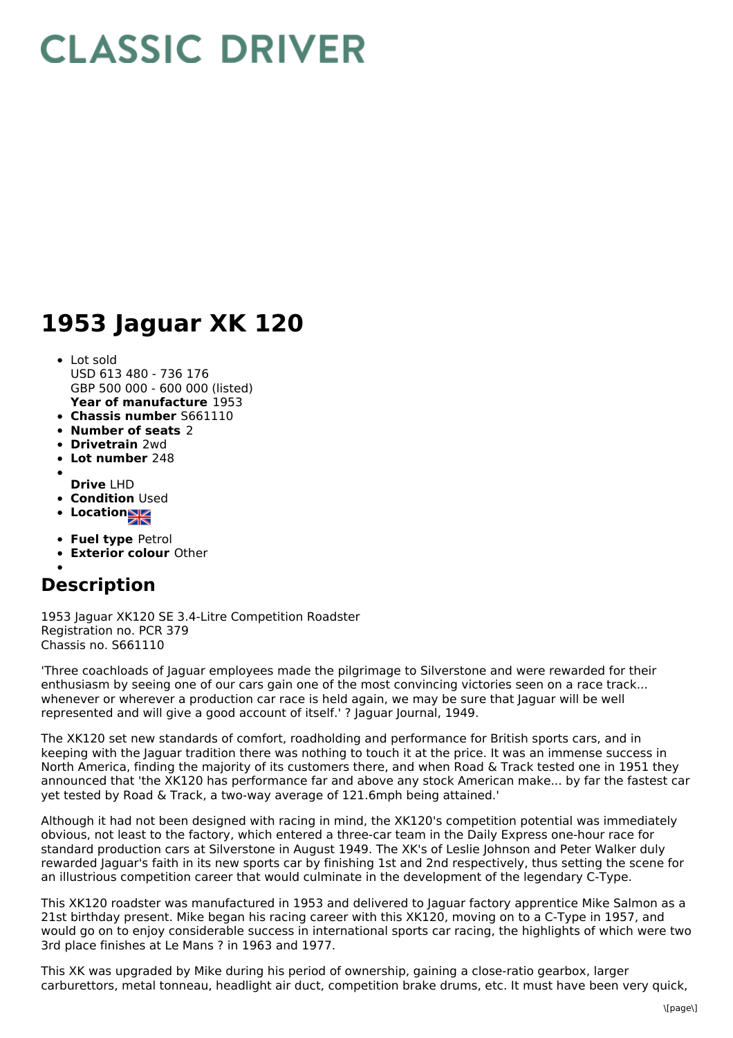## **CLASSIC DRIVER**

## **1953 Jaguar XK 120**

- **Year of manufacture** 1953 Lot sold USD 613 480 - 736 176 GBP 500 000 - 600 000 (listed)
- **Chassis number** S661110
- **Number of seats** 2
- **Drivetrain** 2wd
- **Lot number** 248
- 
- **Drive** LHD
- **Condition** Used
- **Location**
- **Fuel type** Petrol
- **Exterior colour** Other

## **Description**

1953 Jaguar XK120 SE 3.4-Litre Competition Roadster Registration no. PCR 379 Chassis no. S661110

'Three coachloads of Jaguar employees made the pilgrimage to Silverstone and were rewarded for their enthusiasm by seeing one of our cars gain one of the most convincing victories seen on a race track... whenever or wherever a production car race is held again, we may be sure that Jaguar will be well represented and will give a good account of itself.' ? Jaguar Journal, 1949.

The XK120 set new standards of comfort, roadholding and performance for British sports cars, and in keeping with the Jaguar tradition there was nothing to touch it at the price. It was an immense success in North America, finding the majority of its customers there, and when Road & Track tested one in 1951 they announced that 'the XK120 has performance far and above any stock American make... by far the fastest car yet tested by Road & Track, a two-way average of 121.6mph being attained.'

Although it had not been designed with racing in mind, the XK120's competition potential was immediately obvious, not least to the factory, which entered a three-car team in the Daily Express one-hour race for standard production cars at Silverstone in August 1949. The XK's of Leslie Johnson and Peter Walker duly rewarded Jaguar's faith in its new sports car by finishing 1st and 2nd respectively, thus setting the scene for an illustrious competition career that would culminate in the development of the legendary C-Type.

This XK120 roadster was manufactured in 1953 and delivered to Jaguar factory apprentice Mike Salmon as a 21st birthday present. Mike began his racing career with this XK120, moving on to a C-Type in 1957, and would go on to enjoy considerable success in international sports car racing, the highlights of which were two 3rd place finishes at Le Mans ? in 1963 and 1977.

This XK was upgraded by Mike during his period of ownership, gaining a close-ratio gearbox, larger carburettors, metal tonneau, headlight air duct, competition brake drums, etc. It must have been very quick,